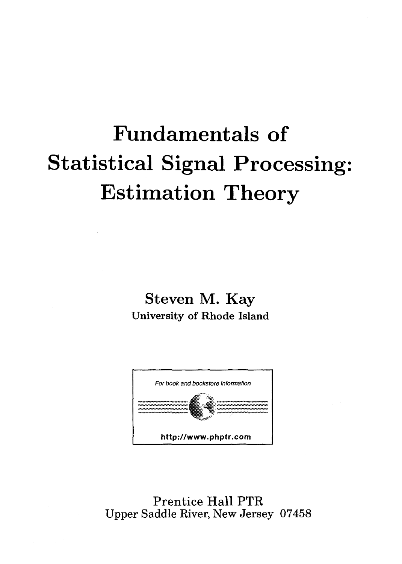## Fundamentals of Statistical Signal Processing: Estimation Theory

Steven M. Kay University of Rhode Island



Prentice Hall PTR Upper Saddle River, New Jersey 07458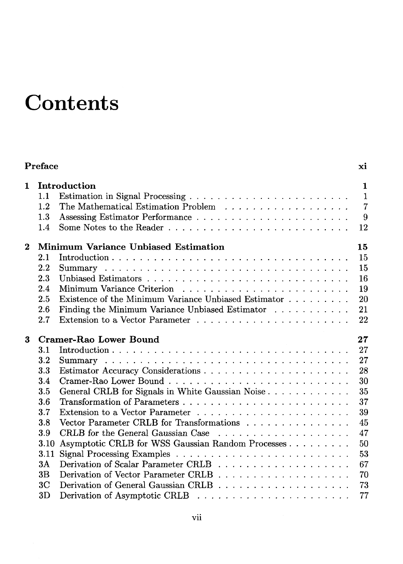## **Contents**

|          | <b>Preface</b>               |                                                      | хi                                             |
|----------|------------------------------|------------------------------------------------------|------------------------------------------------|
| 1        | 1.1<br>1.2<br>$1.3\,$<br>1.4 | Introduction                                         | 1<br>$\mathbf{1}$<br>$\overline{7}$<br>9<br>12 |
| $\bf{2}$ |                              | Minimum Variance Unbiased Estimation                 | 15                                             |
|          | 2.1                          |                                                      | 15                                             |
|          | 2.2                          |                                                      | 15                                             |
|          | 2.3                          |                                                      | 16                                             |
|          | 2.4                          |                                                      | 19                                             |
|          | 2.5                          | Existence of the Minimum Variance Unbiased Estimator | 20                                             |
|          | 2.6                          | Finding the Minimum Variance Unbiased Estimator      | 21                                             |
|          | 2.7                          |                                                      | 22                                             |
| 3        |                              | Cramer-Rao Lower Bound                               | 27                                             |
|          | $3.1\,$                      |                                                      | 27                                             |
|          | 3.2                          |                                                      | 27                                             |
|          | 3.3                          |                                                      | 28                                             |
|          | 3.4                          |                                                      | 30                                             |
|          | 3.5                          | General CRLB for Signals in White Gaussian Noise     | 35                                             |
|          | 3.6                          |                                                      | 37                                             |
|          | 3.7                          |                                                      | 39                                             |
|          | 3.8                          | Vector Parameter CRLB for Transformations            | 45                                             |
|          | 3.9                          |                                                      | 47                                             |
|          | 3.10                         | Asymptotic CRLB for WSS Gaussian Random Processes    | 50                                             |
|          | 3.11                         |                                                      | 53                                             |
|          | 3A                           |                                                      | 67                                             |
|          | 3B                           |                                                      | 70                                             |
|          | 3С                           |                                                      | 73                                             |
|          | 3D                           |                                                      | 77                                             |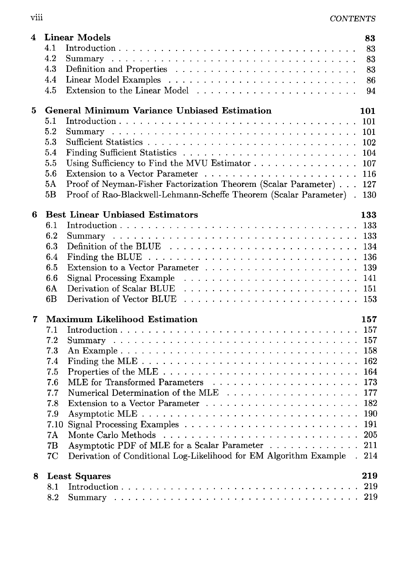| --------<br>vııı | <b>CONTENTS</b> |
|------------------|-----------------|
|                  |                 |

| 4 | <b>Linear Models</b><br>4.1<br>4.2<br>4.3<br>4.4<br>4.5                                                    | 83<br>83<br>83<br>83<br>86<br>94 |
|---|------------------------------------------------------------------------------------------------------------|----------------------------------|
| 5 | <b>General Minimum Variance Unbiased Estimation</b>                                                        | 101                              |
|   | 5.1                                                                                                        |                                  |
|   | 5.2                                                                                                        | -101                             |
|   | 5.3                                                                                                        | - 102                            |
|   | $5.4\,$                                                                                                    | - 104                            |
|   | Using Sufficiency to Find the MVU Estimator<br>5.5                                                         | -107                             |
|   | 5.6                                                                                                        | 116                              |
|   | Proof of Neyman-Fisher Factorization Theorem (Scalar Parameter)<br>5A                                      | 127                              |
|   | Proof of Rao-Blackwell-Lehmann-Scheffe Theorem (Scalar Parameter).<br>5B                                   | 130                              |
| 6 | <b>Best Linear Unbiased Estimators</b>                                                                     | 133                              |
|   | 6.1                                                                                                        |                                  |
|   | 6.2                                                                                                        |                                  |
|   | 6.3                                                                                                        |                                  |
|   | Finding the BLUE $\ldots \ldots \ldots \ldots \ldots \ldots \ldots \ldots \ldots \ldots \ldots 136$<br>6.4 |                                  |
|   | 6.5                                                                                                        |                                  |
|   | 6.6                                                                                                        |                                  |
|   | 6A                                                                                                         |                                  |
|   | 6B                                                                                                         |                                  |
| 7 | <b>Maximum Likelihood Estimation</b>                                                                       | 157                              |
|   | 7.1                                                                                                        |                                  |
|   | 7.2                                                                                                        |                                  |
|   | 7.3                                                                                                        |                                  |
|   | 7.4                                                                                                        |                                  |
|   | 7.5<br>MLE for Transformed Parameters $\ldots \ldots \ldots \ldots \ldots \ldots \ldots \ldots 173$<br>7.6 |                                  |
|   | 7.7                                                                                                        |                                  |
|   | 7.8                                                                                                        |                                  |
|   | 7.9                                                                                                        |                                  |
|   |                                                                                                            |                                  |
|   | 7A                                                                                                         | 205                              |
|   | Asymptotic PDF of MLE for a Scalar Parameter<br>7B                                                         | 211                              |
|   | Derivation of Conditional Log-Likelihood for EM Algorithm Example.<br>7C                                   | 214                              |
| 8 | <b>Least Squares</b>                                                                                       | 219                              |
|   | 8.1                                                                                                        |                                  |
|   | 8.2                                                                                                        |                                  |
|   |                                                                                                            |                                  |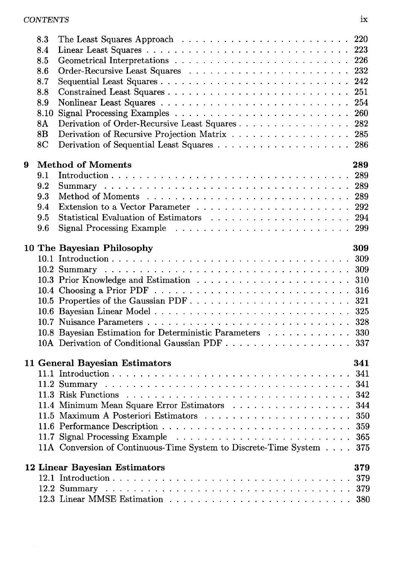|   | 8.3            | The Least Squares Approach $\ldots \ldots \ldots \ldots \ldots \ldots \ldots \ldots 220$ |     |
|---|----------------|------------------------------------------------------------------------------------------|-----|
|   | 8.4            |                                                                                          |     |
|   | 8.5            |                                                                                          |     |
|   | 8.6            |                                                                                          |     |
|   | 8.7            |                                                                                          |     |
|   | 8.8            |                                                                                          |     |
|   | 8.9            |                                                                                          |     |
|   | 8.10           |                                                                                          |     |
|   | 8A             | Derivation of Order-Recursive Least Squares 282                                          |     |
|   | 8B             | Derivation of Recursive Projection Matrix 285                                            |     |
|   | 8 <sub>C</sub> | Derivation of Sequential Least Squares 286                                               |     |
|   |                |                                                                                          |     |
| 9 |                | <b>Method of Moments</b>                                                                 | 289 |
|   | 9.1            |                                                                                          |     |
|   | 9.2            |                                                                                          |     |
|   | 9.3            |                                                                                          |     |
|   | 9.4            |                                                                                          |     |
|   | 9.5            |                                                                                          |     |
|   | 9.6            |                                                                                          |     |
|   |                | 10 The Bayesian Philosophy                                                               | 309 |
|   |                |                                                                                          |     |
|   |                |                                                                                          |     |
|   |                |                                                                                          |     |
|   |                |                                                                                          |     |
|   |                |                                                                                          |     |
|   |                |                                                                                          |     |
|   |                |                                                                                          |     |
|   |                | 10.8 Bayesian Estimation for Deterministic Parameters 330                                |     |
|   |                | 10A Derivation of Conditional Gaussian PDF 337                                           |     |
|   |                |                                                                                          |     |
|   |                | 11 General Bayesian Estimators                                                           | 341 |
|   |                |                                                                                          |     |
|   |                |                                                                                          |     |
|   |                |                                                                                          |     |
|   |                | 11.4 Minimum Mean Square Error Estimators 344                                            |     |
|   |                |                                                                                          |     |
|   |                |                                                                                          |     |
|   |                |                                                                                          | 365 |
|   |                | 11A Conversion of Continuous-Time System to Discrete-Time System                         | 375 |
|   |                | <b>12 Linear Bayesian Estimators</b>                                                     | 379 |
|   |                |                                                                                          | 379 |
|   |                |                                                                                          | 379 |
|   |                |                                                                                          | 380 |
|   |                |                                                                                          |     |